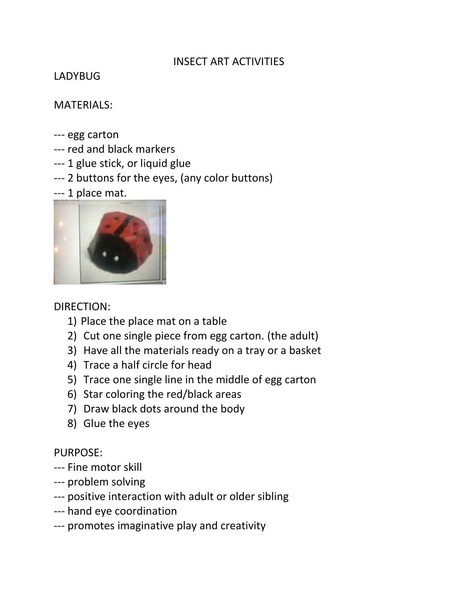# INSECT ART ACTIVITIES

# LADYBUG

# MATERIALS:

- --- egg carton
- --- red and black markers
- --- 1 glue stick, or liquid glue
- --- 2 buttons for the eyes, (any color buttons)
- --- 1 place mat.



# DIRECTION:

- 1) Place the place mat on a table
- 2) Cut one single piece from egg carton. (the adult)
- 3) Have all the materials ready on a tray or a basket
- 4) Trace a half circle for head
- 5) Trace one single line in the middle of egg carton
- 6) Star coloring the red/black areas
- 7) Draw black dots around the body
- 8) Glue the eyes

# PURPOSE:

- --- Fine motor skill
- --- problem solving
- --- positive interaction with adult or older sibling
- --- hand eye coordination
- --- promotes imaginative play and creativity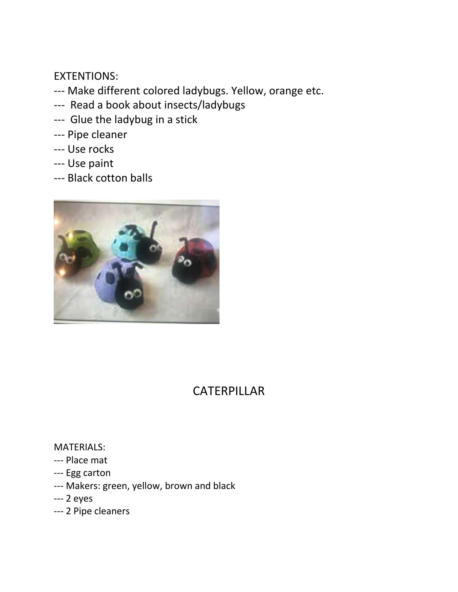EXTENTIONS:

- --- Make different colored ladybugs. Yellow, orange etc.
- --- Read a book about insects/ladybugs
- --- Glue the ladybug in a stick
- --- Pipe cleaner
- --- Use rocks
- --- Use paint
- --- Black cotton balls



# CATERPILLAR

#### MATERIALS:

- --- Place mat
- --- Egg carton
- --- Makers: green, yellow, brown and black
- --- 2 eyes
- --- 2 Pipe cleaners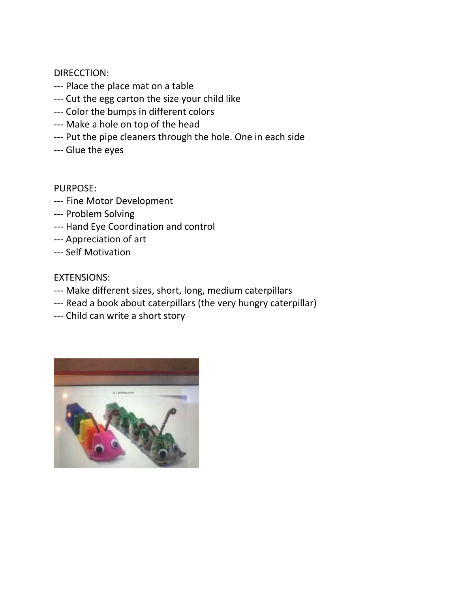DIRECCTION:

- --- Place the place mat on a table
- --- Cut the egg carton the size your child like
- --- Color the bumps in different colors
- --- Make a hole on top of the head
- --- Put the pipe cleaners through the hole. One in each side
- --- Glue the eyes

PURPOSE:

- --- Fine Motor Development
- --- Problem Solving
- --- Hand Eye Coordination and control
- --- Appreciation of art
- --- Self Motivation

#### EXTENSIONS:

- --- Make different sizes, short, long, medium caterpillars
- --- Read a book about caterpillars (the very hungry caterpillar)
- --- Child can write a short story

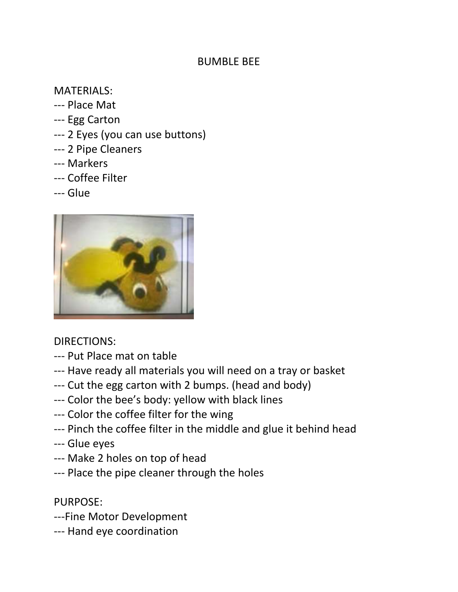# BUMBLE BEE

# MATERIALS:

- --- Place Mat
- --- Egg Carton
- --- 2 Eyes (you can use buttons)
- --- 2 Pipe Cleaners
- --- Markers
- --- Coffee Filter
- --- Glue



# DIRECTIONS:

- --- Put Place mat on table
- --- Have ready all materials you will need on a tray or basket
- --- Cut the egg carton with 2 bumps. (head and body)
- --- Color the bee's body: yellow with black lines
- --- Color the coffee filter for the wing
- --- Pinch the coffee filter in the middle and glue it behind head
- --- Glue eyes
- --- Make 2 holes on top of head
- --- Place the pipe cleaner through the holes

PURPOSE:

- ---Fine Motor Development
- --- Hand eye coordination